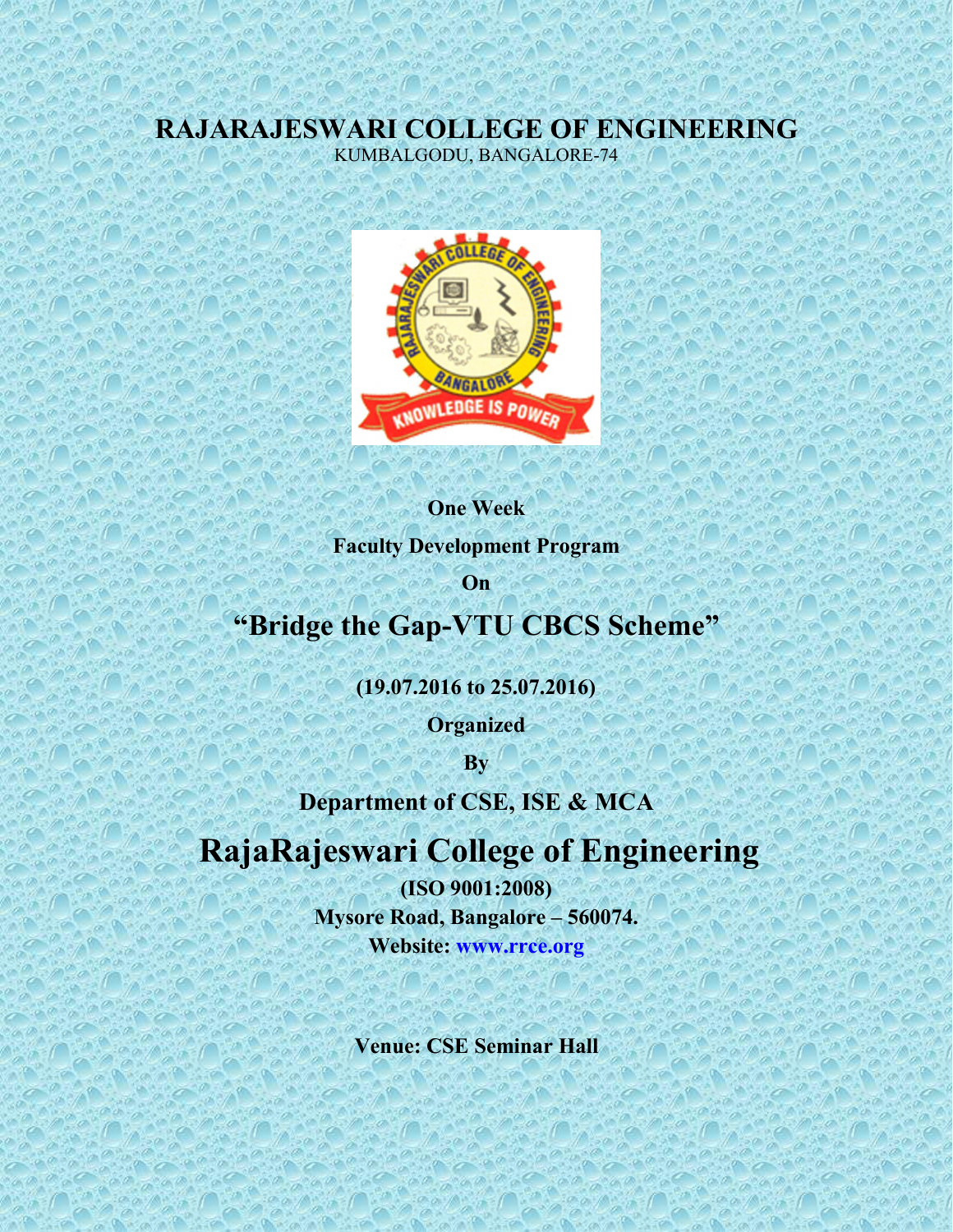## **RAJARAJESWARI COLLEGE OF ENGINEERING** KUMBALGODU, BANGALORE-74



**One Week**

**Faculty Development Program**

**On** *Company Company* 

## **"Bridge the Gap-VTU CBCS Scheme"**

**(19.07.2016 to 25.07.2016)**

**Organized**

**By**

**Department of CSE, ISE & MCA**

## **RajaRajeswari College of Engineering**

**(ISO 9001:2008) Mysore Road, Bangalore – 560074. Website: [www.rrce.org](http://www.rrce.org)**

**Venue: CSE Seminar Hall**